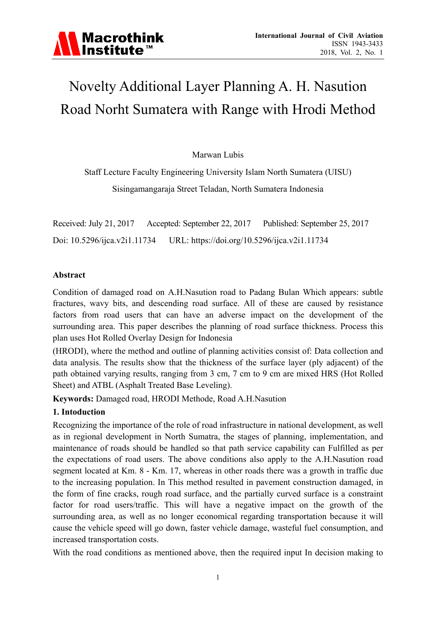# Novelty Additional Layer Planning A. H. Nasution Road Norht Sumatera with Range with Hrodi Method

Marwan Lubis

Staff Lecture Faculty Engineering University Islam North Sumatera (UISU) Sisingamangaraja Street Teladan, North Sumatera Indonesia

Received: July 21, 2017 Accepted: September 22, 2017 Published: September 25, 2017 Doi: 10.5296/ijca.v2i1.11734 URL: https://doi.org/10.5296/ijca.v2i1.11734

#### **Abstract**

Condition of damaged road on A.H.Nasution road to Padang Bulan Which appears: subtle fractures, wavy bits, and descending road surface. All of these are caused by resistance factors from road users that can have an adverse impact on the development of the surrounding area. This paper describes the planning of road surface thickness. Process this plan uses Hot Rolled Overlay Design for Indonesia

(HRODI), where the method and outline of planning activities consist of: Data collection and data analysis. The results show that the thickness of the surface layer (ply adjacent) of the path obtained varying results, ranging from 3 cm, 7 cm to 9 cm are mixed HRS (Hot Rolled Sheet) and ATBL (Asphalt Treated Base Leveling).

**Keywords:** Damaged road, HRODI Methode, Road A.H.Nasution

### **1. Intoduction**

Recognizing the importance of the role of road infrastructure in national development, as well as in regional development in North Sumatra, the stages of planning, implementation, and maintenance of roads should be handled so that path service capability can Fulfilled as per the expectations of road users. The above conditions also apply to the A.H.Nasution road segment located at Km. 8 - Km. 17, whereas in other roads there was a growth in traffic due to the increasing population. In This method resulted in pavement construction damaged, in the form of fine cracks, rough road surface, and the partially curved surface is a constraint factor for road users/traffic. This will have a negative impact on the growth of the surrounding area, as well as no longer economical regarding transportation because it will cause the vehicle speed will go down, faster vehicle damage, wasteful fuel consumption, and increased transportation costs.

With the road conditions as mentioned above, then the required input In decision making to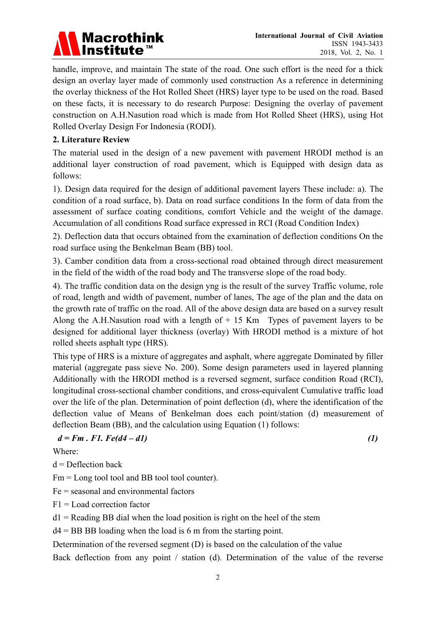# **Macrothink** Institute<sup>™</sup>

handle, improve, and maintain The state of the road. One such effort is the need for a thick design an overlay layer made of commonly used construction As a reference in determining the overlay thickness of the Hot Rolled Sheet (HRS) layer type to be used on the road. Based on these facts, it is necessary to do research Purpose: Designing the overlay of pavement construction on A.H.Nasution road which is made from Hot Rolled Sheet (HRS), using Hot Rolled Overlay Design For Indonesia (RODI).

## **2. Literature Review**

The material used in the design of a new pavement with pavement HRODI method is an additional layer construction of road pavement, which is Equipped with design data as follows:

1). Design data required for the design of additional pavement layers These include: a). The condition of a road surface, b). Data on road surface conditions In the form of data from the assessment of surface coating conditions, comfort Vehicle and the weight of the damage. Accumulation of all conditions Road surface expressed in RCI (Road Condition Index)

2). Deflection data that occurs obtained from the examination of deflection conditions On the road surface using the Benkelman Beam (BB) tool.

3). Camber condition data from a cross-sectional road obtained through direct measurement in the field of the width of the road body and The transverse slope of the road body.

4). The traffic condition data on the design yng is the result of the survey Traffic volume, role of road, length and width of pavement, number of lanes, The age of the plan and the data on the growth rate of traffic on the road. All of the above design data are based on a survey result Along the A.H.Nasution road with a length of  $+ 15$  Km Types of pavement layers to be designed for additional layer thickness (overlay) With HRODI method is a mixture of hot rolled sheets asphalt type (HRS).

This type of HRS is a mixture of aggregates and asphalt, where aggregate Dominated by filler material (aggregate pass sieve No. 200). Some design parameters used in layered planning Additionally with the HRODI method is a reversed segment, surface condition Road (RCI), longitudinal cross-sectional chamber conditions, and cross-equivalent Cumulative traffic load over the life of the plan. Determination of point deflection (d), where the identification of the deflection value of Means of Benkelman does each point/station (d) measurement of deflection Beam (BB), and the calculation using Equation (1) follows:

$$
d = Fm \cdot F1. \; Fe(d4 - d1) \tag{1}
$$

Where:

 $d =$ Deflection back

Fm = Long tool tool and BB tool tool counter).

Fe = seasonal and environmental factors

 $F1 =$ Load correction factor

 $d1$  = Reading BB dial when the load position is right on the heel of the stem

 $d4 = BB BB$  loading when the load is 6 m from the starting point.

Determination of the reversed segment (D) is based on the calculation of the value

Back deflection from any point / station (d). Determination of the value of the reverse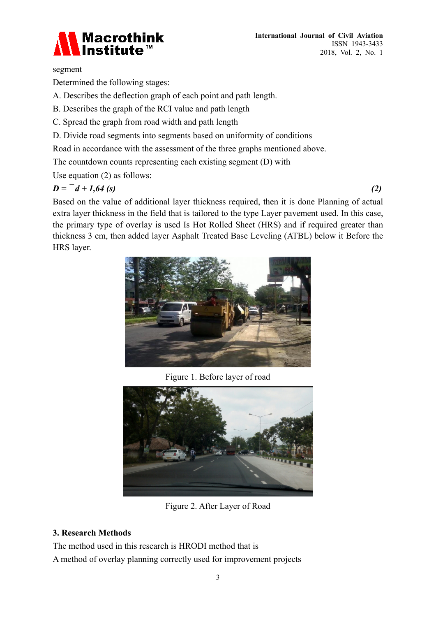

#### segment

Determined the following stages:

- A. Describes the deflection graph of each point and path length.
- B. Describes the graph of the RCI value and path length
- C. Spread the graph from road width and path length
- D. Divide road segments into segments based on uniformity of conditions
- Road in accordance with the assessment of the three graphs mentioned above.

The countdown counts representing each existing segment (D) with

Use equation (2) as follows:

# $D = -d + 1.64$  (s) (2)

Based on the value of additional layer thickness required, then it is done Planning of actual extra layer thickness in the field that is tailored to the type Layer pavement used. In this case, the primary type of overlay is used Is Hot Rolled Sheet (HRS) and if required greater than thickness 3 cm, then added layer Asphalt Treated Base Leveling (ATBL) below it Before the HRS layer.



Figure 1. Before layer of road



Figure 2. After Layer of Road

### **3. Research Methods**

The method used in this research is HRODI method that is A method of overlay planning correctly used for improvement projects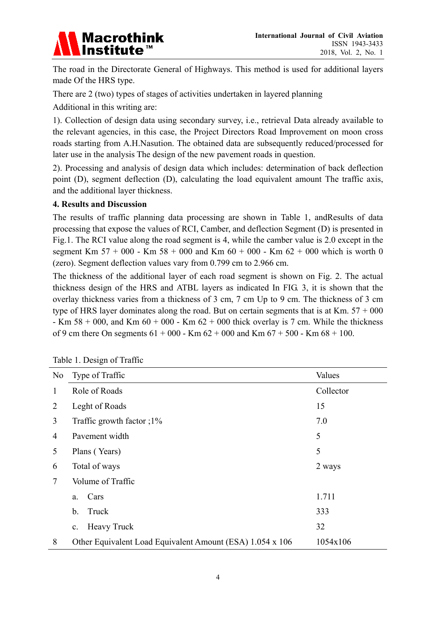

The road in the Directorate General of Highways. This method is used for additional layers made Of the HRS type.

There are 2 (two) types of stages of activities undertaken in layered planning

Additional in this writing are:

1). Collection of design data using secondary survey, i.e., retrieval Data already available to the relevant agencies, in this case, the Project Directors Road Improvement on moon cross roads starting from A.H.Nasution. The obtained data are subsequently reduced/processed for later use in the analysis The design of the new pavement roads in question.

2). Processing and analysis of design data which includes: determination of back deflection point (D), segment deflection (D), calculating the load equivalent amount The traffic axis, and the additional layer thickness.

#### **4. Results and Discussion**

The results of traffic planning data processing are shown in Table 1, andResults of data processing that expose the values of RCI, Camber, and deflection Segment (D) is presented in Fig.1. The RCI value along the road segment is 4, while the camber value is 2.0 except in the segment Km  $57 + 000$  - Km  $58 + 000$  and Km  $60 + 000$  - Km  $62 + 000$  which is worth 0 (zero). Segment deflection values vary from 0.799 cm to 2.966 cm.

The thickness of the additional layer of each road segment is shown on Fig. 2. The actual thickness design of the HRS and ATBL layers as indicated In FIG. 3, it is shown that the overlay thickness varies from a thickness of 3 cm, 7 cm Up to 9 cm. The thickness of 3 cm type of HRS layer dominates along the road. But on certain segments that is at Km.  $57 + 000$ - Km 58 + 000, and Km  $60 + 000$  - Km  $62 + 000$  thick overlay is 7 cm. While the thickness of 9 cm there On segments  $61 + 000$  - Km  $62 + 000$  and Km  $67 + 500$  - Km  $68 + 100$ .

| No | Type of Traffic                                           | Values    |
|----|-----------------------------------------------------------|-----------|
| 1  | Role of Roads                                             | Collector |
| 2  | Leght of Roads                                            | 15        |
| 3  | Traffic growth factor $;1\%$                              | 7.0       |
| 4  | Pavement width                                            | 5         |
| 5  | Plans (Years)                                             | 5         |
| 6  | Total of ways                                             | 2 ways    |
| 7  | Volume of Traffic                                         |           |
|    | Cars<br>a.                                                | 1.711     |
|    | Truck<br>b.                                               | 333       |
|    | <b>Heavy Truck</b><br>c.                                  | 32        |
| 8  | Other Equivalent Load Equivalent Amount (ESA) 1.054 x 106 | 1054x106  |

Table 1. Design of Traffic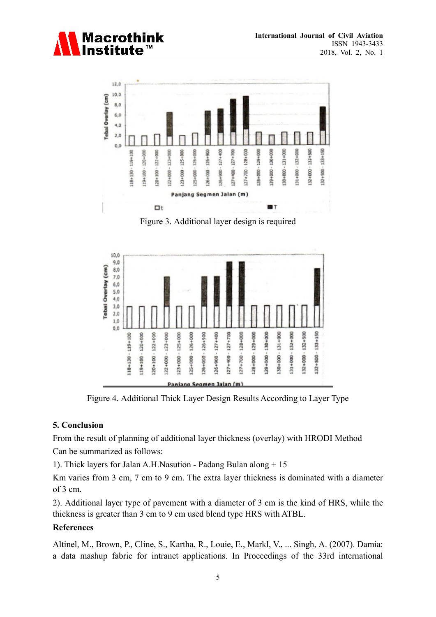



Figure 3. Additional layer design is required



Figure 4. Additional Thick Layer Design Results According to Layer Type

#### **5. Conclusion**

From the result of planning of additional layer thickness (overlay) with HRODI Method Can be summarized as follows:

1). Thick layers for Jalan A.H.Nasution - Padang Bulan along + 15

Km varies from 3 cm, 7 cm to 9 cm. The extra layer thickness is dominated with a diameter of 3 cm.

2). Additional layer type of pavement with a diameter of 3 cm is the kind of HRS, while the thickness is greater than 3 cm to 9 cm used blend type HRS with ATBL.

### **References**

Altinel, M., Brown, P., Cline, S., Kartha, R., Louie, E., Markl, V., ... Singh, A. (2007). Damia: a data mashup fabric for intranet applications. In Proceedings of the 33rd international